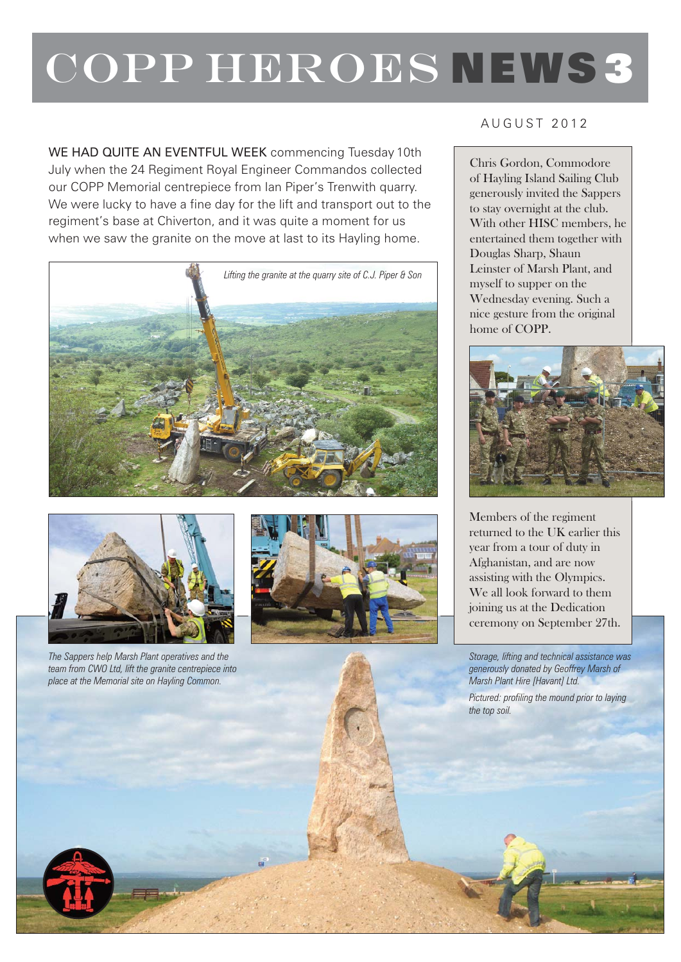## COPP HEROES NEWS 3

WE HAD QUITE AN EVENTFUL WEEK commencing Tuesday 10th July when the 24 Regiment Royal Engineer Commandos collected our COPP Memorial centrepiece from Ian Piper's Trenwith quarry. We were lucky to have a fine day for the lift and transport out to the regiment's base at Chiverton, and it was quite a moment for us when we saw the granite on the move at last to its Hayling home.





*The Sappers help Marsh Plant operatives and the team from CWO Ltd, lift the granite centrepiece into place at the Memorial site on Hayling Common.*



## AUGUST 2012

Chris Gordon, Commodore of Hayling Island Sailing Club generously invited the Sappers to stay overnight at the club. With other HISC members, he entertained them together with Douglas Sharp, Shaun Leinster of Marsh Plant, and myself to supper on the Wednesday evening. Such a nice gesture from the original home of COPP.



Members of the regiment returned to the UK earlier this year from a tour of duty in Afghanistan, and are now assisting with the Olympics. We all look forward to them joining us at the Dedication ceremony on September 27th.

*Storage, lifting and technical assistance was generously donated by Geoffrey Marsh of Marsh Plant Hire [Havant] Ltd.* 

*Pictured: profiling the mound prior to laying the top soil.*